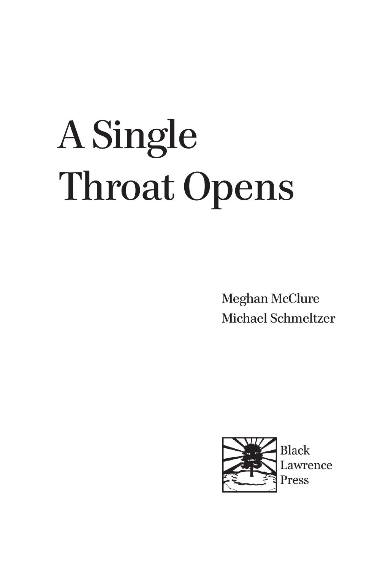## A Single Throat Opens

Meghan McClure Michael Schmeltzer



Black Lawrence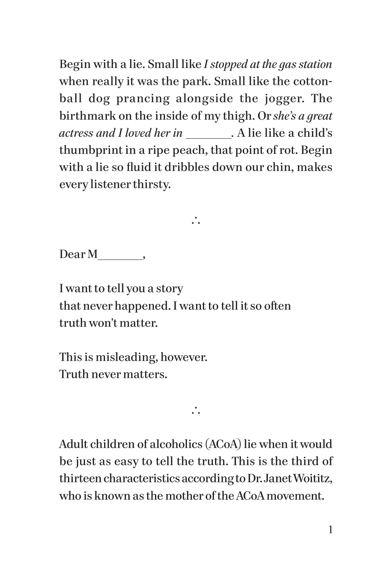Begin with a lie. Small like *I stopped at the gas station*  when really it was the park. Small like the cottonball dog prancing alongside the jogger. The birthmark on the inside of my thigh. Or *she's a great actress and I loved her in* \_\_\_\_\_*.* A lie like a child's thumbprint in a ripe peach, that point of rot. Begin with a lie so fluid it dribbles down our chin, makes every listener thirsty.

 $\ddot{\cdot}$ 

Dear M\_\_\_\_\_\_,

I want to tell you a story that never happened. I want to tell it so often truth won't matter.

This is misleading, however. Truth never matters.

 $\mathcal{L}$ 

Adult children of alcoholics (ACoA) lie when it would be just as easy to tell the truth. This is the third of thirteen characteristics according to Dr. Janet Woititz, who is known as the mother of the ACoA movement.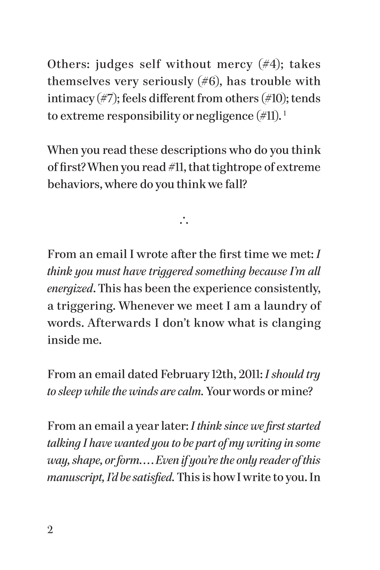Others: judges self without mercy  $(\#4)$ ; takes themselves very seriously  $(\#6)$ , has trouble with intimacy  $(\#7)$ ; feels different from others  $(\#10)$ ; tends to extreme responsibility or negligence  $(\#11).$ <sup>1</sup>

When you read these descriptions who do you think of first? When you read #11, that tightrope of extreme behaviors, where do you think we fall?

 $\mathcal{L}$ 

From an email I wrote after the first time we met: *I think you must have triggered something because I'm all energized*. This has been the experience consistently, a triggering. Whenever we meet I am a laundry of words. Afterwards I don't know what is clanging inside me.

From an email dated February 12th, 2011: *I should try to sleep while the winds are calm.* Your words or mine?

From an email a year later: *I think since we first started talking I have wanted you to be part of my writing in some way, shape, or form. . . .Even if you're the only reader of this manuscript, I'd be satisfied.* This is how I write to you. In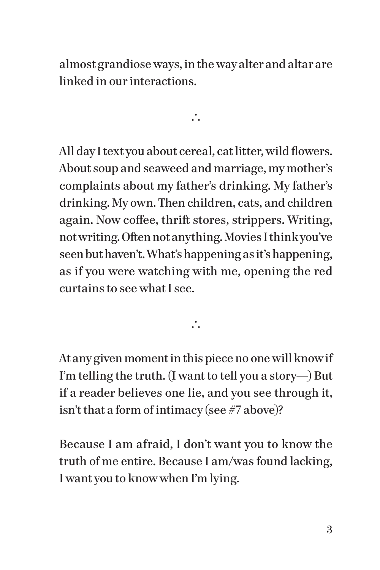almost grandiose ways, in the way alter and altar are linked in our interactions.

 $\mathcal{L}$ 

All day I text you about cereal, cat litter, wild flowers. About soup and seaweed and marriage, my mother's complaints about my father's drinking. My father's drinking. My own. Then children, cats, and children again. Now coffee, thrift stores, strippers. Writing, not writing. Often not anything. Movies I think you've seen but haven't. What's happening as it's happening, as if you were watching with me, opening the red curtains to see what I see.

 $\ddot{\cdot}$ 

At any given moment in this piece no one will know if I'm telling the truth. (I want to tell you a story—) But if a reader believes one lie, and you see through it, isn't that a form of intimacy (see #7 above)?

Because I am afraid, I don't want you to know the truth of me entire. Because I am/was found lacking, I want you to know when I'm lying.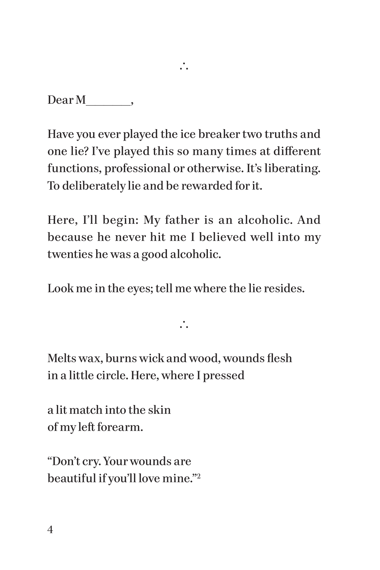Dear M\_\_\_\_\_\_\_,

Have you ever played the ice breaker two truths and one lie? I've played this so many times at different functions, professional or otherwise. It's liberating. To deliberately lie and be rewarded for it.

 $\ddot{\cdot}$ 

Here, I'll begin: My father is an alcoholic. And because he never hit me I believed well into my twenties he was a good alcoholic.

Look me in the eyes; tell me where the lie resides.

 $\ddot{\cdot}$ 

Melts wax, burns wick and wood, wounds flesh in a little circle. Here, where I pressed

a lit match into the skin of my left forearm.

"Don't cry. Your wounds are beautiful if you'll love mine."2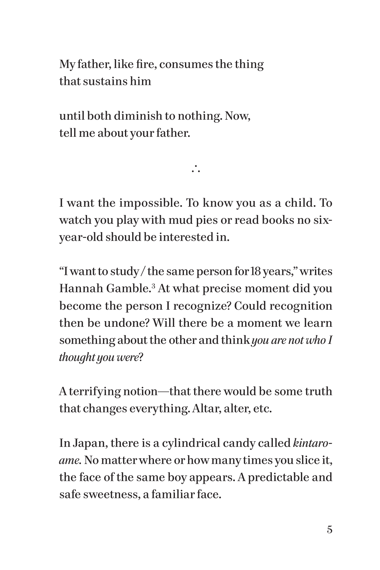My father, like fire, consumes the thing that sustains him

until both diminish to nothing. Now, tell me about your father.

I want the impossible. To know you as a child. To watch you play with mud pies or read books no sixyear-old should be interested in.

 $\mathcal{L}$ 

"I want to study / the same person for 18 years," writes Hannah Gamble.3 At what precise moment did you become the person I recognize? Could recognition then be undone? Will there be a moment we learn something about the other and think *you are not who I thought you were*?

A terrifying notion—that there would be some truth that changes everything. Altar, alter, etc.

In Japan, there is a cylindrical candy called *kintaroame.* No matter where or how many times you slice it, the face of the same boy appears. A predictable and safe sweetness, a familiar face.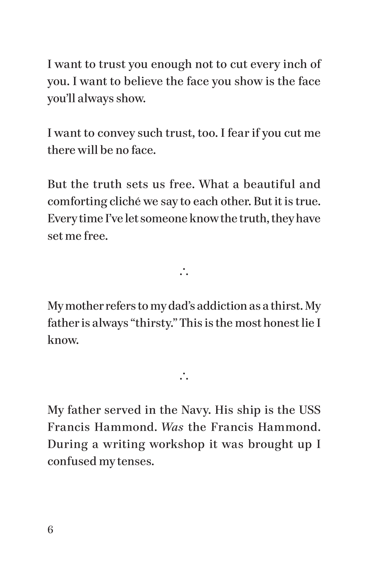I want to trust you enough not to cut every inch of you. I want to believe the face you show is the face you'll always show.

I want to convey such trust, too. I fear if you cut me there will be no face.

But the truth sets us free. What a beautiful and comforting cliché we say to each other. But it is true. Every time I've let someone know the truth, they have set me free.

 $\mathcal{L}$ 

My mother refers to my dad's addiction as a thirst. My father is always "thirsty." This is the most honest lie I know.

 $\ddot{\cdot}$ 

My father served in the Navy. His ship is the USS Francis Hammond. *Was* the Francis Hammond. During a writing workshop it was brought up I confused my tenses.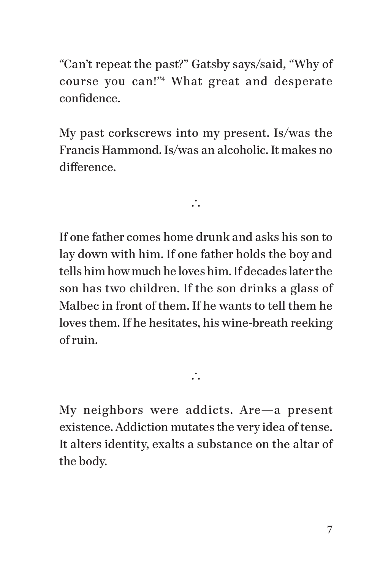"Can't repeat the past?" Gatsby says/said, "Why of course you can!"4 What great and desperate confidence.

My past corkscrews into my present. Is/was the Francis Hammond. Is/was an alcoholic. It makes no difference.

 $\mathbf{\cdot}$ 

If one father comes home drunk and asks his son to lay down with him. If one father holds the boy and tells him how much he loves him. If decades later the son has two children. If the son drinks a glass of Malbec in front of them. If he wants to tell them he loves them. If he hesitates, his wine-breath reeking of ruin.

My neighbors were addicts. Are—a present existence. Addiction mutates the very idea of tense. It alters identity, exalts a substance on the altar of the body.

 $\ddot{\cdot}$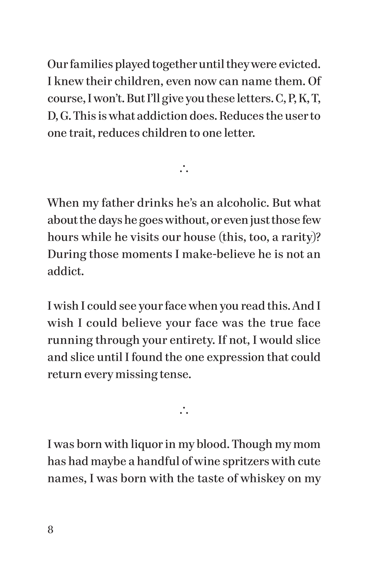Our families played together until they were evicted. I knew their children, even now can name them. Of course, I won't. But I'll give you these letters. C, P, K, T, D, G. This is what addiction does. Reduces the user to one trait, reduces children to one letter.

When my father drinks he's an alcoholic. But what about the days he goes without, or even just those few hours while he visits our house (this, too, a rarity)? During those moments I make-believe he is not an addict.

 $\mathcal{L}$ 

I wish I could see your face when you read this. And I wish I could believe your face was the true face running through your entirety. If not, I would slice and slice until I found the one expression that could return every missing tense.

 $\mathcal{L}$ 

I was born with liquor in my blood. Though my mom has had maybe a handful of wine spritzers with cute names, I was born with the taste of whiskey on my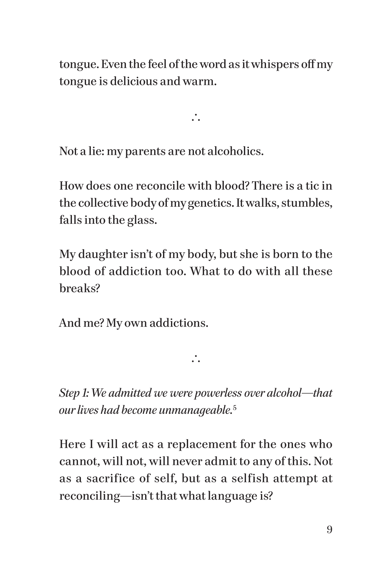tongue. Even the feel of the word as it whispers off my tongue is delicious and warm.

 $\mathcal{L}$ 

Not a lie: my parents are not alcoholics.

How does one reconcile with blood? There is a tic in the collective body of my genetics. It walks, stumbles, falls into the glass.

My daughter isn't of my body, but she is born to the blood of addiction too. What to do with all these breaks?

And me? My own addictions.

*Step 1: We admitted we were powerless over alcohol*—*that our lives had become unmanageable.*<sup>5</sup>

 $\ddot{\cdot}$ 

Here I will act as a replacement for the ones who cannot, will not, will never admit to any of this. Not as a sacrifice of self, but as a selfish attempt at reconciling—isn't that what language is?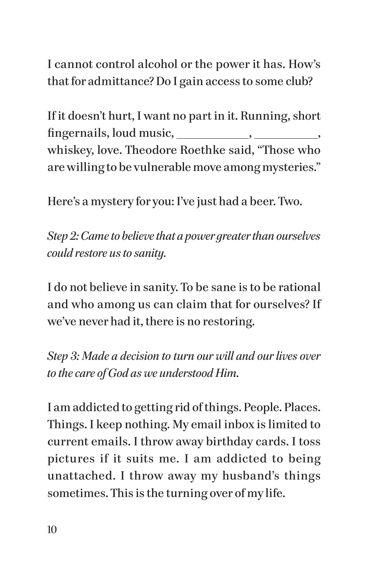I cannot control alcohol or the power it has. How's that for admittance? Do I gain access to some club?

If it doesn't hurt, I want no part in it. Running, short fingernails, loud music,  $\qquad \qquad$ ,  $\qquad \qquad$ , whiskey, love. Theodore Roethke said, "Those who are willing to be vulnerable move among mysteries."

Here's a mystery for you: I've just had a beer. Two.

*Step 2: Came to believe that a power greater than ourselves could restore us to sanity.*

I do not believe in sanity. To be sane is to be rational and who among us can claim that for ourselves? If we've never had it, there is no restoring.

*Step 3: Made a decision to turn our will and our lives over to the care of God as we understood Him.*

I am addicted to getting rid of things. People. Places. Things. I keep nothing. My email inbox is limited to current emails. I throw away birthday cards. I toss pictures if it suits me. I am addicted to being unattached. I throw away my husband's things sometimes. This is the turning over of my life.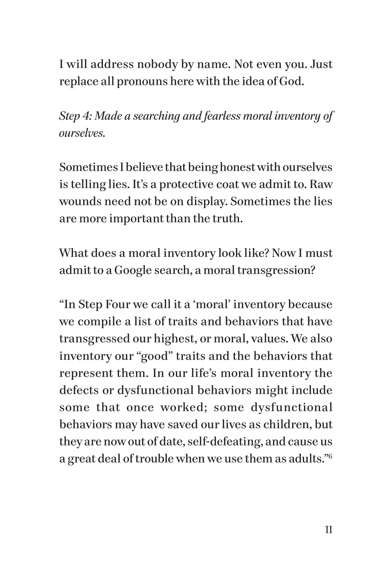I will address nobody by name. Not even you. Just replace all pronouns here with the idea of God.

*Step 4: Made a searching and fearless moral inventory of ourselves.*

Sometimes I believe that being honest with ourselves is telling lies. It's a protective coat we admit to. Raw wounds need not be on display. Sometimes the lies are more important than the truth.

What does a moral inventory look like? Now I must admit to a Google search, a moral transgression?

"In Step Four we call it a 'moral' inventory because we compile a list of traits and behaviors that have transgressed our highest, or moral, values. We also inventory our "good" traits and the behaviors that represent them. In our life's moral inventory the defects or dysfunctional behaviors might include some that once worked; some dysfunctional behaviors may have saved our lives as children, but they are now out of date, self-defeating, and cause us a great deal of trouble when we use them as adults."6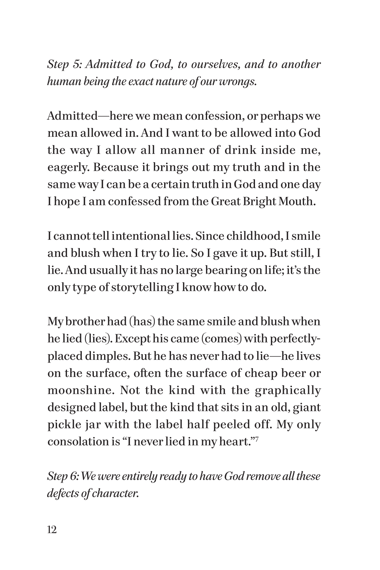*Step 5: Admitted to God, to ourselves, and to another human being the exact nature of our wrongs.*

Admitted—here we mean confession, or perhaps we mean allowed in. And I want to be allowed into God the way I allow all manner of drink inside me, eagerly. Because it brings out my truth and in the same way I can be a certain truth in God and one day I hope I am confessed from the Great Bright Mouth.

I cannot tell intentional lies. Since childhood, I smile and blush when I try to lie. So I gave it up. But still, I lie. And usually it has no large bearing on life; it's the only type of storytelling I know how to do.

My brother had (has) the same smile and blush when he lied (lies). Except his came (comes) with perfectlyplaced dimples. But he has never had to lie—he lives on the surface, often the surface of cheap beer or moonshine. Not the kind with the graphically designed label, but the kind that sits in an old, giant pickle jar with the label half peeled off. My only consolation is "I never lied in my heart."7

*Step 6: We were entirely ready to have God remove all these defects of character.*